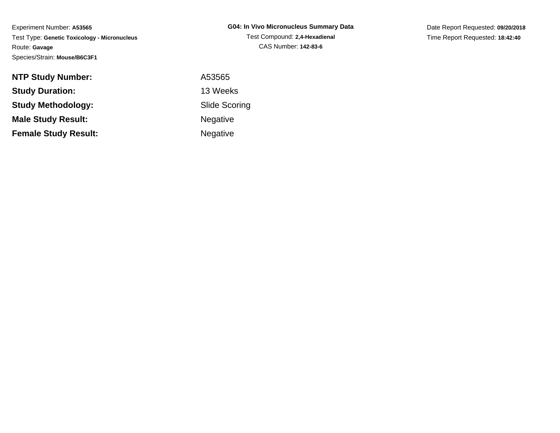Experiment Number: **A53565** Test Type: **Genetic Toxicology - Micronucleus**Route: **Gavage**Species/Strain: **Mouse/B6C3F1**

Date Report Requested: **09/20/2018**Time Report Requested: **18:42:40**

| <b>NTP Study Number:</b>    | A53565          |
|-----------------------------|-----------------|
| <b>Study Duration:</b>      | 13 Weeks        |
| <b>Study Methodology:</b>   | Slide Scor      |
| <b>Male Study Result:</b>   | <b>Negative</b> |
| <b>Female Study Result:</b> | <b>Negative</b> |

Scoring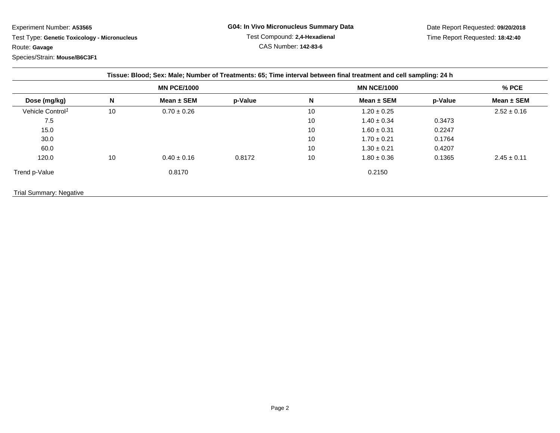Experiment Number: **A53565**

 Test Type: **Genetic Toxicology - Micronucleus**Route: **Gavage**Species/Strain: **Mouse/B6C3F1**

Date Report Requested: **09/20/2018**Time Report Requested: **18:42:40**

| Tissue: Blood; Sex: Male; Number of Treatments: 65; Time interval between final treatment and cell sampling: 24 h |                    |                 |         |                    |                 |         |                 |  |
|-------------------------------------------------------------------------------------------------------------------|--------------------|-----------------|---------|--------------------|-----------------|---------|-----------------|--|
|                                                                                                                   | <b>MN PCE/1000</b> |                 |         | <b>MN NCE/1000</b> |                 |         | % PCE           |  |
| Dose (mg/kg)                                                                                                      | N                  | Mean $\pm$ SEM  | p-Value | N                  | Mean $\pm$ SEM  | p-Value | Mean $\pm$ SEM  |  |
| Vehicle Control <sup>1</sup>                                                                                      | 10                 | $0.70 \pm 0.26$ |         | 10                 | $1.20 \pm 0.25$ |         | $2.52 \pm 0.16$ |  |
| 7.5                                                                                                               |                    |                 |         | 10                 | $1.40 \pm 0.34$ | 0.3473  |                 |  |
| 15.0                                                                                                              |                    |                 |         | 10                 | $1.60 \pm 0.31$ | 0.2247  |                 |  |
| 30.0                                                                                                              |                    |                 |         | 10                 | $1.70 \pm 0.21$ | 0.1764  |                 |  |
| 60.0                                                                                                              |                    |                 |         | 10                 | $1.30 \pm 0.21$ | 0.4207  |                 |  |
| 120.0                                                                                                             | 10                 | $0.40 \pm 0.16$ | 0.8172  | 10                 | $1.80 \pm 0.36$ | 0.1365  | $2.45 \pm 0.11$ |  |
| Trend p-Value                                                                                                     |                    | 0.8170          |         |                    | 0.2150          |         |                 |  |
| <b>Trial Summary: Negative</b>                                                                                    |                    |                 |         |                    |                 |         |                 |  |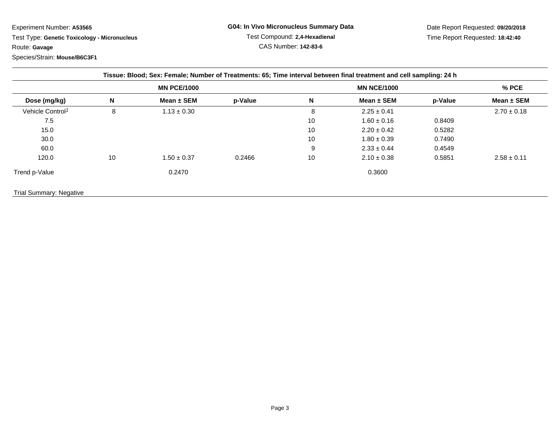## Experiment Number: **A53565**

 Test Type: **Genetic Toxicology - Micronucleus**Route: **Gavage**

## Species/Strain: **Mouse/B6C3F1**

Date Report Requested: **09/20/2018**Time Report Requested: **18:42:40**

| Tissue: Blood; Sex: Female; Number of Treatments: 65; Time interval between final treatment and cell sampling: 24 h |                    |                 |         |                    |                 |         |                 |  |
|---------------------------------------------------------------------------------------------------------------------|--------------------|-----------------|---------|--------------------|-----------------|---------|-----------------|--|
|                                                                                                                     | <b>MN PCE/1000</b> |                 |         | <b>MN NCE/1000</b> |                 |         | $%$ PCE         |  |
| Dose (mg/kg)                                                                                                        | N                  | Mean $\pm$ SEM  | p-Value | N                  | Mean $\pm$ SEM  | p-Value | Mean $\pm$ SEM  |  |
| Vehicle Control <sup>1</sup>                                                                                        | 8                  | $1.13 \pm 0.30$ |         | 8                  | $2.25 \pm 0.41$ |         | $2.70 \pm 0.18$ |  |
| 7.5                                                                                                                 |                    |                 |         | 10                 | $1.60 \pm 0.16$ | 0.8409  |                 |  |
| 15.0                                                                                                                |                    |                 |         | 10                 | $2.20 \pm 0.42$ | 0.5282  |                 |  |
| 30.0                                                                                                                |                    |                 |         | 10                 | $1.80 \pm 0.39$ | 0.7490  |                 |  |
| 60.0                                                                                                                |                    |                 |         | 9                  | $2.33 \pm 0.44$ | 0.4549  |                 |  |
| 120.0                                                                                                               | 10                 | $.50 \pm 0.37$  | 0.2466  | 10                 | $2.10 \pm 0.38$ | 0.5851  | $2.58 \pm 0.11$ |  |
| Trend p-Value                                                                                                       |                    | 0.2470          |         |                    | 0.3600          |         |                 |  |
| <b>Trial Summary: Negative</b>                                                                                      |                    |                 |         |                    |                 |         |                 |  |